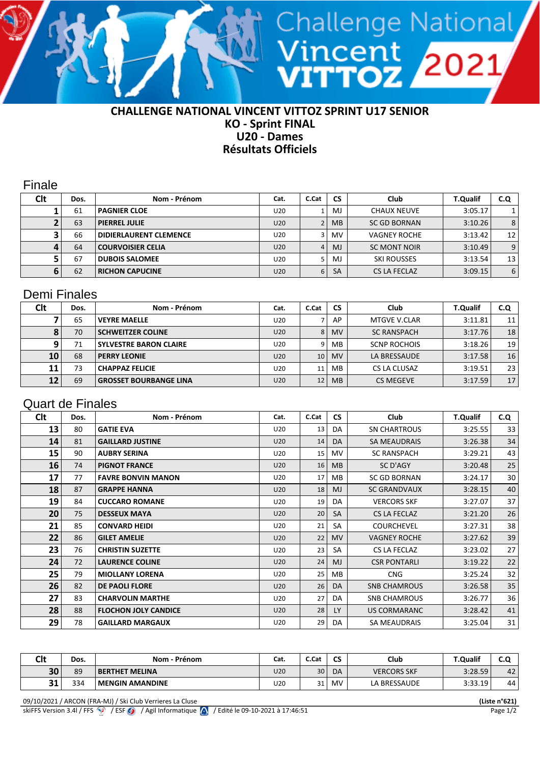

## **KO - Sprint FINAL U20 - Dames Résultats Officiels**

Finale

| Clt | Dos. | Nom - Prénom                  | Cat.            | C.Cat | <b>CS</b> | Club                | <b>T.Qualif</b> | C.Q |
|-----|------|-------------------------------|-----------------|-------|-----------|---------------------|-----------------|-----|
|     | 61   | <b>PAGNIER CLOE</b>           | U20             |       | MJ.       | <b>CHAUX NEUVE</b>  | 3:05.17         |     |
|     | 63   | <b>PIERREL JULIE</b>          | U20             |       | <b>MB</b> | <b>SC GD BORNAN</b> | 3:10.26         | 8   |
|     | 66   | <b>DIDIERLAURENT CLEMENCE</b> | U20             |       | <b>MV</b> | <b>VAGNEY ROCHE</b> | 3:13.42         | 12  |
|     | 64   | <b>COURVOISIER CELIA</b>      | U20             | 4     | MJ        | SC MONT NOIR        | 3:10.49         | 9   |
|     | 67   | <b>DUBOIS SALOMEE</b>         | U <sub>20</sub> |       | MJ        | <b>SKI ROUSSES</b>  | 3:13.54         | 13  |
|     | 62   | <b>RICHON CAPUCINE</b>        | U <sub>20</sub> | 6     | <b>SA</b> | CS LA FECLAZ        | 3:09.15         | 6   |

## Demi Finales

| Clt | Dos. | Nom - Prénom                  | Cat.            | C.Cat           | <b>CS</b> | Club                | <b>T.Qualif</b> | C.Q             |
|-----|------|-------------------------------|-----------------|-----------------|-----------|---------------------|-----------------|-----------------|
|     | 65   | <b>VEYRE MAELLE</b>           | U20             |                 | AP        | <b>MTGVE V.CLAR</b> | 3:11.81         | 11 <sup>1</sup> |
|     | 70   | <b>SCHWEITZER COLINE</b>      | U20             | 8 <sup>1</sup>  | <b>MV</b> | <b>SC RANSPACH</b>  | 3:17.76         | 18              |
|     | 71   | <b>SYLVESTRE BARON CLAIRE</b> | U <sub>20</sub> | ا 9             | MB.       | <b>SCNP ROCHOIS</b> | 3:18.26         | 19 <sub>1</sub> |
| 10  | 68   | <b>PERRY LEONIE</b>           | U <sub>20</sub> | 10 <sup>1</sup> | <b>MV</b> | LA BRESSAUDE        | 3:17.58         | 16              |
| 11  | 73   | <b>CHAPPAZ FELICIE</b>        | U <sub>20</sub> | 11              | MB.       | CS LA CLUSAZ        | 3:19.51         | 23              |
| 12  | 69   | <b>GROSSET BOURBANGE LINA</b> | U <sub>20</sub> | 12              | <b>MB</b> | <b>CS MEGEVE</b>    | 3:17.59         | 17 <sub>1</sub> |

## Quart de Finales

| <b>Clt</b> | Dos. | Nom - Prénom                | Cat.            | C.Cat | <b>CS</b> | Club                | <b>T.Qualif</b> | C.Q |
|------------|------|-----------------------------|-----------------|-------|-----------|---------------------|-----------------|-----|
| 13         | 80   | <b>GATIE EVA</b>            | U20             | 13    | DA        | <b>SN CHARTROUS</b> | 3:25.55         | 33  |
| 14         | 81   | <b>GAILLARD JUSTINE</b>     | U20             | 14    | DA        | <b>SA MEAUDRAIS</b> | 3:26.38         | 34  |
| 15         | 90   | <b>AUBRY SERINA</b>         | U20             | 15    | MV.       | <b>SC RANSPACH</b>  | 3:29.21         | 43  |
| 16         | 74   | <b>PIGNOT FRANCE</b>        | U20             | 16    | MB        | SC D'AGY            | 3:20.48         | 25  |
| 17         | 77   | <b>FAVRE BONVIN MANON</b>   | U20             | 17    | MB        | <b>SC GD BORNAN</b> | 3:24.17         | 30  |
| 18         | 87   | <b>GRAPPE HANNA</b>         | U20             | 18    | MJ        | <b>SC GRANDVAUX</b> | 3:28.15         | 40  |
| 19         | 84   | <b>CUCCARO ROMANE</b>       | U20             | 19    | DA.       | <b>VERCORS SKF</b>  | 3:27.07         | 37  |
| 20         | 75   | <b>DESSEUX MAYA</b>         | U20             | 20    | <b>SA</b> | CS LA FECLAZ        | 3:21.20         | 26  |
| 21         | 85   | <b>CONVARD HEIDI</b>        | U20             | 21    | <b>SA</b> | <b>COURCHEVEL</b>   | 3:27.31         | 38  |
| 22         | 86   | <b>GILET AMELIE</b>         | U20             | 22    | <b>MV</b> | <b>VAGNEY ROCHE</b> | 3:27.62         | 39  |
| 23         | 76   | <b>CHRISTIN SUZETTE</b>     | U20             | 23    | SA        | CS LA FECLAZ        | 3:23.02         | 27  |
| 24         | 72   | <b>LAURENCE COLINE</b>      | U20             | 24    | <b>MJ</b> | <b>CSR PONTARLI</b> | 3:19.22         | 22  |
| 25         | 79   | <b>MIOLLANY LORENA</b>      | U20             | 25    | MB        | <b>CNG</b>          | 3:25.24         | 32  |
| 26         | 82   | <b>DE PAOLI FLORE</b>       | U20             | 26    | DA        | <b>SNB CHAMROUS</b> | 3:26.58         | 35  |
| 27         | 83   | <b>CHARVOLIN MARTHE</b>     | U20             | 27    | DA        | <b>SNB CHAMROUS</b> | 3:26.77         | 36  |
| 28         | 88   | <b>FLOCHON JOLY CANDICE</b> | U <sub>20</sub> | 28    | <b>LY</b> | US CORMARANC        | 3:28.42         | 41  |
| 29         | 78   | <b>GAILLARD MARGAUX</b>     | U20             | 29    | DA        | SA MEAUDRAIS        | 3:25.04         | 31  |

| <b>Clt</b> | Dos. | Nom - Prénom           | Cat.            | C.Cat           | <b>CS</b> | Club               | <b>T.Qualif</b> | し・ヒ |
|------------|------|------------------------|-----------------|-----------------|-----------|--------------------|-----------------|-----|
| 30         | 89   | <b>BERTHET MELINA</b>  | U20             | 30 <sup>1</sup> | DA        | <b>VERCORS SKF</b> | 3:28.59         | 42' |
| 21<br>ЭД   | 334  | <b>MENGIN AMANDINE</b> | U <sub>20</sub> | 31              | <b>MV</b> | LA BRESSAUDE       | 3:33.19         | 44  |